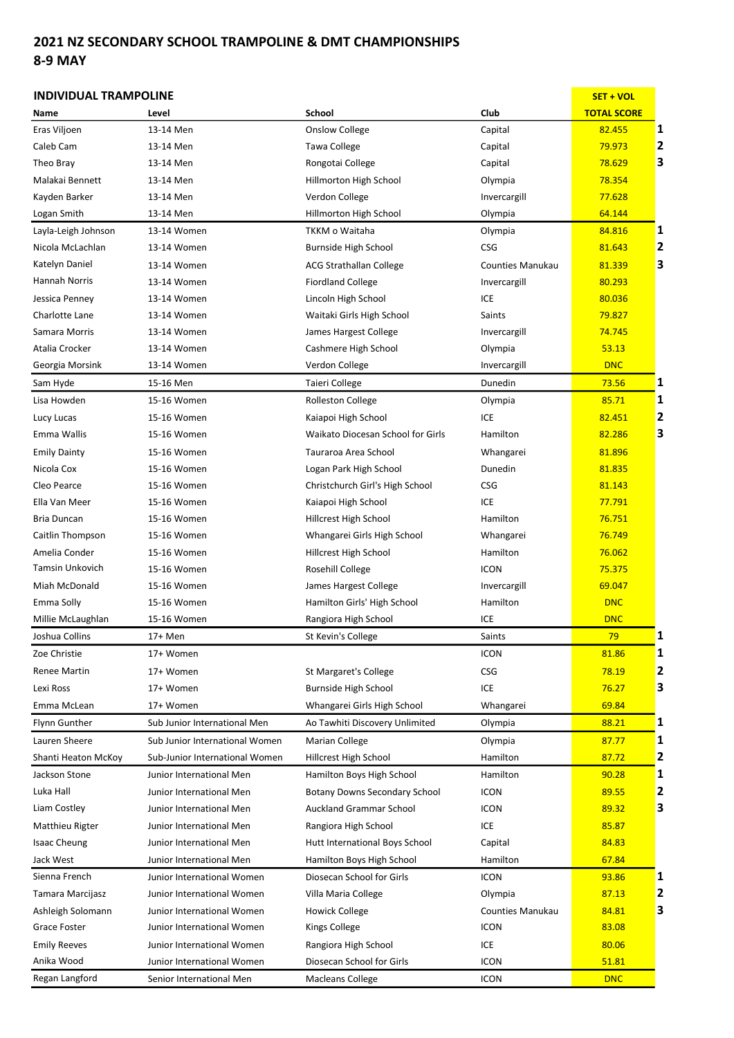## 2021 NZ SECONDARY SCHOOL TRAMPOLINE & DMT CHAMPIONSHIPS 8-9 MAY

## INDIVIDUAL TRAMPOLINE SET THE SET OF SET ON A SET ON A SET OF SET OF SET OF SET OF SET OF SET OF SET OF SET OF Name Level School Club TOTAL SCORE Eras Viljoen 13-14 Men 13-14 Men Conslow College Capital Capital 1 Caleb Cam 13-14 Men Tawa College Capital 79.973 2 Theo Bray 13-14 Men 13-14 Men Rongotai College Capital Capital 1996 198.629 1 Malakai Bennett 13-14 Men 13-14 Men Hillmorton High School Clympia 13-14 Men 78.354 Kayden Barker 13-14 Men Verdon College Invercargill 77.628 Logan Smith 13-14 Men 13-14 Men Hillmorton High School Clympia Colympia 64.144 Layla-Leigh Johnson 13-14 Women 18 TKKM o Waitaha Nasara Diympia 184.816 1 Nicola McLachlan 13-14 Women 12 Burnside High School CSG CSG 81.643 2 Katelyn Daniel 13-14 Women 13-14 Women ACG Strathallan College Counties Manukau 181.339 3 Hannah Norris 13-14 Women Fiordland College States and Theorem and Theorem 13-14 Women States and Fiordland College Jessica Penney 13-14 Women Lincoln High School CCE CHO BO.036 Charlotte Lane 13-14 Women 13-14 Women Waitaki Girls High School Saints Saints 79.827 Samara Morris **13-14 Women** James Hargest College **Invercargill** 13-14 Vomen James Hargest College Invercargill 13-14 74.745 Atalia Crocker **13-14 Women** Cashmere High School **Crocker Contained Contained Contained Contained Contained Conta** Georgia Morsink 13-14 Women Verdon College Invercargill <mark> DNC</mark> Sam Hyde 15-16 Men Taieri College Dunedin 73.56 1 Lisa Howden 15-16 Women 15-16 Women Rolleston College New Solympia 1985.71 1 1 Lucy Lucas 15-16 Women Kaiapoi High School ICE 82.451 2 Emma Wallis **15-16 Women** Waikato Diocesan School for Girls Hamilton **82.286 3** Emily Dainty **15-16 Women 15-16 Women** Tauraroa Area School **Whangarei 81.896** Nicola Cox **15-16 Women** Logan Park High School **Dunedin** Dunedin 81.835 Cleo Pearce **15-16 Women** Christchurch Girl's High School CSG CSG 81.143 Ella Van Meer **15-16 Women** 15-16 Women Kaiapoi High School ICE ICE 16 177.791 Bria Duncan 15-16 Women Hillcrest High School Hamilton Hamilton 76.751 Caitlin Thompson 15-16 Women Whangarei Girls High School Whangarei 76.749 Amelia Conder 15-16 Women Hillcrest High School Hamilton Hamilton 76.062 Tamsin Unkovich 15-16 Women 15-16 Women Rosehill College Names CON 125.375 Miah McDonald 15-16 Women James Hargest College Invercargill 15-16 Women James Hargest College Emma Solly 15-16 Women Hamilton Girls' High School Hamilton Hamilton Hamilton DNC Millie McLaughlan 15-16 Women **Rangiora High School** ICE **ICE** DNC Joshua Collins 17+ Men St Kevin's College Saints <mark> 79 1</mark> 1 Zoe Christie and 19th Women and the Controller of the Controller of the Controller of the Controller of the Con Renee Martin 17+ Women St Margaret's College CSG CSG 78.19 2 Lexi Ross 17+ Women Burnside High School ICE 76.27 3 Emma McLean 17+ Women 17+ Women Whangarei Girls High School Whangarei 1998.84 Flynn Gunther Sub Junior International Men Ao Tawhiti Discovery Unlimited Olympia 88.21 1 Lauren Sheere Sub Junior International Women Marian College **College College College College College** Colvmpia 87.77 1 Shanti Heaton McKoy Sub-Junior International Women Hillcrest High School Hamilton Hamilton 87.72 2 Jackson Stone Junior International Men Hamilton Boys High School Hamilton Hamilton 90.28 1 Luka Hall **Immury Botany Downs Secondary School** ICON 89.55 2 Liam Costley **State Auckland Container Auckland Grammar School** ICON 1CON 89.32 3 Matthieu Rigter **International Men** Rangiora High School **ICE 1996** 85.87 Isaac Cheung Junior International Men Hutt International Boys School Capital Capital 84.83 Jack West Junior International Men Hamilton Boys High School Hamilton 67.84 Sienna French Junior International Women Diosecan School for Girls ICON 193.86 1 Tamara Marcijasz Junior International Women Villa Maria College **College College College** Olympia 87.13 2 Ashleigh Solomann Junior International Women Howick College Counties Manukau 84.81 3 Grace Foster **State International Women** Mings College **ICON** ICON 83.08 Emily Reeves **Emily Reeves** Junior International Women Rangiora High School **ICE 1998** ICE **1998** 12006 Anika Wood Junior International Women Diosecan School for Girls ICON 12000 12000 51.81 Regan Langford Senior International Men Macleans College ICON CON DNC